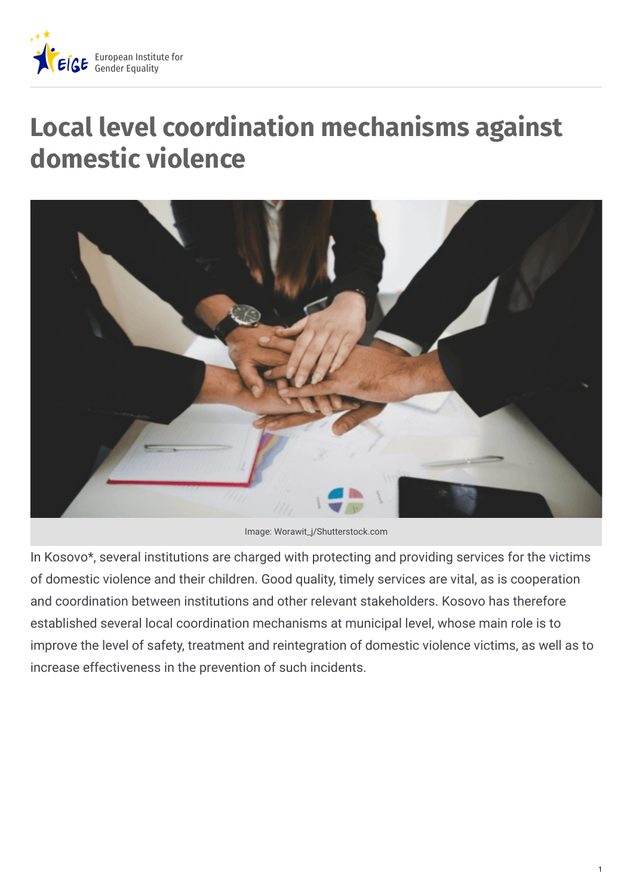

# **Local level coordination mechanisms against domestic violence**



Image: Worawit\_j/Shutterstock.com

In Kosovo\*, several institutions are charged with protecting and providing services for the victims of domestic violence and their children. Good quality, timely services are vital, as is cooperation and coordination between institutions and other relevant stakeholders. Kosovo has therefore established several local coordination mechanisms at municipal level, whose main role is to improve the level of safety, treatment and reintegration of domestic violence victims, as well as to increase effectiveness in the prevention of such incidents.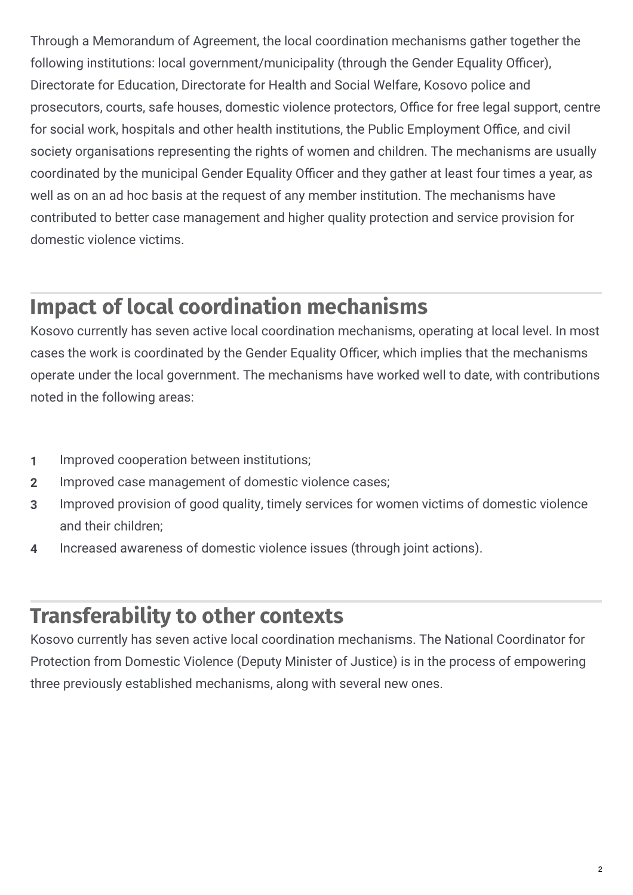Through a Memorandum of Agreement, the local coordination mechanisms gather together the following institutions: local government/municipality (through the Gender Equality Officer), Directorate for Education, Directorate for Health and Social Welfare, Kosovo police and prosecutors, courts, safe houses, domestic violence protectors, Office for free legal support, centre for social work, hospitals and other health institutions, the Public Employment Office, and civil society organisations representing the rights of women and children. The mechanisms are usually coordinated by the municipal Gender Equality Officer and they gather at least four times a year, as well as on an ad hoc basis at the request of any member institution. The mechanisms have contributed to better case management and higher quality protection and service provision for domestic violence victims.

#### **Impact of local coordination mechanisms**

Kosovo currently has seven active local coordination mechanisms, operating at local level. In most cases the work is coordinated by the Gender Equality Officer, which implies that the mechanisms operate under the local government. The mechanisms have worked well to date, with contributions noted in the following areas:

- **1** Improved cooperation between institutions;
- **2** Improved case management of domestic violence cases;
- Improved provision of good quality, timely services for women victims of domestic violence and their children; **3**
- **4** Increased awareness of domestic violence issues (through joint actions).

#### **Transferability to other contexts**

Kosovo currently has seven active local coordination mechanisms. The National Coordinator for Protection from Domestic Violence (Deputy Minister of Justice) is in the process of empowering three previously established mechanisms, along with several new ones.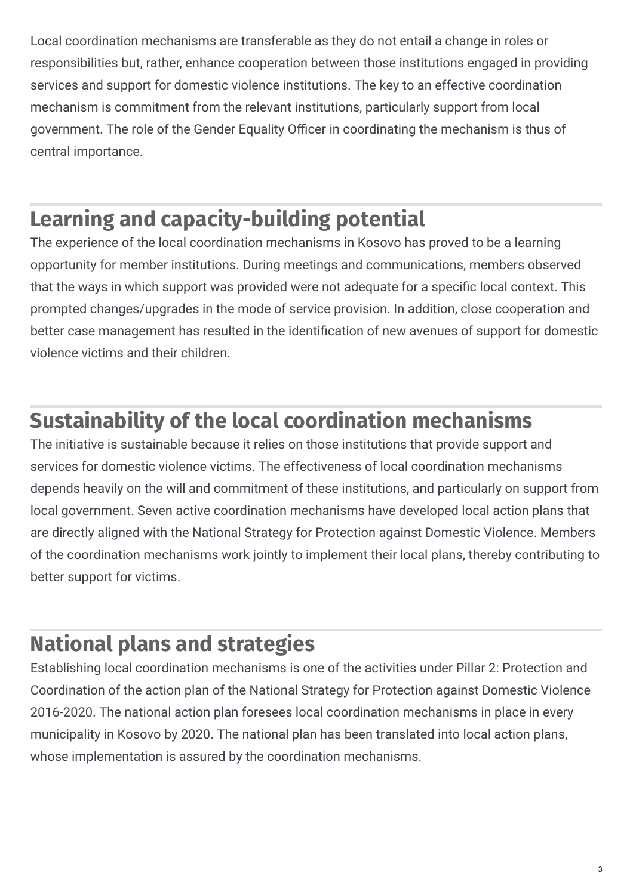Local coordination mechanisms are transferable as they do not entail a change in roles or responsibilities but, rather, enhance cooperation between those institutions engaged in providing services and support for domestic violence institutions. The key to an effective coordination mechanism is commitment from the relevant institutions, particularly support from local government. The role of the Gender Equality Officer in coordinating the mechanism is thus of central importance.

### **Learning and capacity-building potential**

The experience of the local coordination mechanisms in Kosovo has proved to be a learning opportunity for member institutions. During meetings and communications, members observed that the ways in which support was provided were not adequate for a specific local context. This prompted changes/upgrades in the mode of service provision. In addition, close cooperation and better case management has resulted in the identification of new avenues of support for domestic violence victims and their children.

# **Sustainability of the local coordination mechanisms**

The initiative is sustainable because it relies on those institutions that provide support and services for domestic violence victims. The effectiveness of local coordination mechanisms depends heavily on the will and commitment of these institutions, and particularly on support from local government. Seven active coordination mechanisms have developed local action plans that are directly aligned with the National Strategy for Protection against Domestic Violence. Members of the coordination mechanisms work jointly to implement their local plans, thereby contributing to better support for victims.

#### **National plans and strategies**

Establishing local coordination mechanisms is one of the activities under Pillar 2: Protection and Coordination of the action plan of the National Strategy for Protection against Domestic Violence 2016-2020. The national action plan foresees local coordination mechanisms in place in every municipality in Kosovo by 2020. The national plan has been translated into local action plans, whose implementation is assured by the coordination mechanisms.